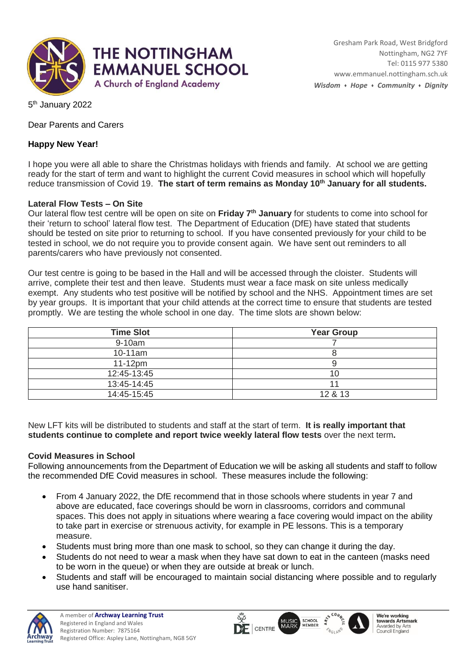

5<sup>th</sup> January 2022

Dear Parents and Carers

## **Happy New Year!**

I hope you were all able to share the Christmas holidays with friends and family. At school we are getting ready for the start of term and want to highlight the current Covid measures in school which will hopefully reduce transmission of Covid 19. **The start of term remains as Monday 10th January for all students.**

## **Lateral Flow Tests – On Site**

Our lateral flow test centre will be open on site on **Friday 7th January** for students to come into school for their 'return to school' lateral flow test. The Department of Education (DfE) have stated that students should be tested on site prior to returning to school. If you have consented previously for your child to be tested in school, we do not require you to provide consent again. We have sent out reminders to all parents/carers who have previously not consented.

Our test centre is going to be based in the Hall and will be accessed through the cloister. Students will arrive, complete their test and then leave. Students must wear a face mask on site unless medically exempt. Any students who test positive will be notified by school and the NHS. Appointment times are set by year groups. It is important that your child attends at the correct time to ensure that students are tested promptly. We are testing the whole school in one day. The time slots are shown below:

| <b>Time Slot</b> | <b>Year Group</b> |
|------------------|-------------------|
| 9-10am           |                   |
| 10-11am          |                   |
| $11-12pm$        |                   |
| 12:45-13:45      | 10                |
| 13:45-14:45      |                   |
| 14:45-15:45      | 12 & 13           |

New LFT kits will be distributed to students and staff at the start of term. **It is really important that students continue to complete and report twice weekly lateral flow tests** over the next term**.** 

## **Covid Measures in School**

Following announcements from the Department of Education we will be asking all students and staff to follow the recommended DfE Covid measures in school. These measures include the following:

- From 4 January 2022, the DfE recommend that in those schools where students in year 7 and above are educated, face coverings should be worn in classrooms, corridors and communal spaces. This does not apply in situations where wearing a face covering would impact on the ability to take part in exercise or strenuous activity, for example in PE lessons. This is a temporary measure.
- Students must bring more than one mask to school, so they can change it during the day.
- Students do not need to wear a mask when they have sat down to eat in the canteen (masks need to be worn in the queue) or when they are outside at break or lunch.
- Students and staff will be encouraged to maintain social distancing where possible and to regularly use hand sanitiser.

 $\overline{\mathsf{Q}}$ 

 $\Gamma$  CENTRE